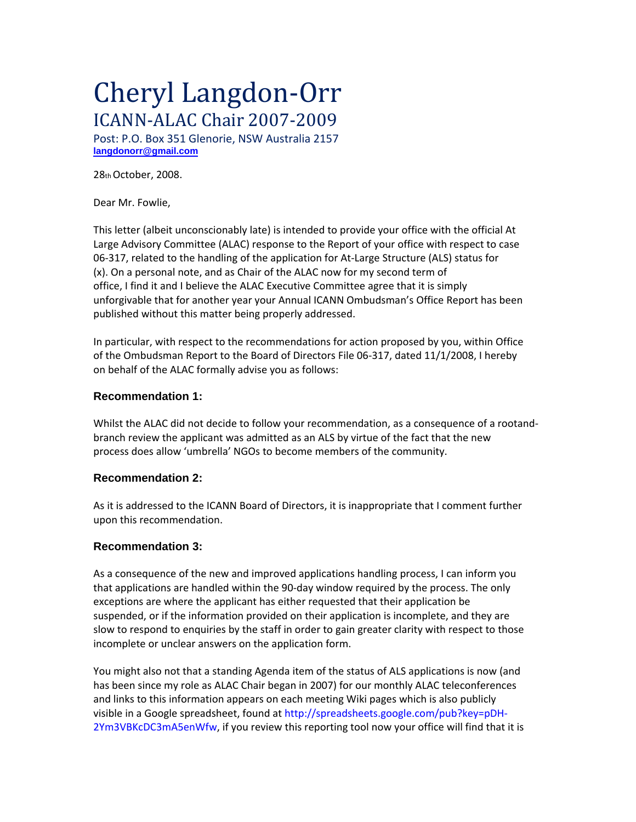# Cheryl Langdon‐Orr ICANN‐ALAC Chair 2007‐2009

Post: P.O. Box 351 Glenorie, NSW Australia 2157 **langdonorr@gmail.com**

28thOctober, 2008.

Dear Mr. Fowlie,

This letter (albeit unconscionably late) is intended to provide your office with the official At Large Advisory Committee (ALAC) response to the Report of your office with respect to case 06‐317, related to the handling of the application for At‐Large Structure (ALS) status for (x). On a personal note, and as Chair of the ALAC now for my second term of office, I find it and I believe the ALAC Executive Committee agree that it is simply unforgivable that for another year your Annual ICANN Ombudsman's Office Report has been published without this matter being properly addressed.

In particular, with respect to the recommendations for action proposed by you, within Office of the Ombudsman Report to the Board of Directors File 06‐317, dated 11/1/2008, I hereby on behalf of the ALAC formally advise you as follows:

# **Recommendation 1:**

Whilst the ALAC did not decide to follow your recommendation, as a consequence of a rootand‐ branch review the applicant was admitted as an ALS by virtue of the fact that the new process does allow 'umbrella' NGOs to become members of the community.

# **Recommendation 2:**

As it is addressed to the ICANN Board of Directors, it is inappropriate that I comment further upon this recommendation.

# **Recommendation 3:**

As a consequence of the new and improved applications handling process, I can inform you that applications are handled within the 90‐day window required by the process. The only exceptions are where the applicant has either requested that their application be suspended, or if the information provided on their application is incomplete, and they are slow to respond to enquiries by the staff in order to gain greater clarity with respect to those incomplete or unclear answers on the application form.

You might also not that a standing Agenda item of the status of ALS applications is now (and has been since my role as ALAC Chair began in 2007) for our monthly ALAC teleconferences and links to this information appears on each meeting Wiki pages which is also publicly visible in a Google spreadsheet, found at http://spreadsheets.google.com/pub?key=pDH-2Ym3VBKcDC3mA5enWfw, if you review this reporting tool now your office will find that it is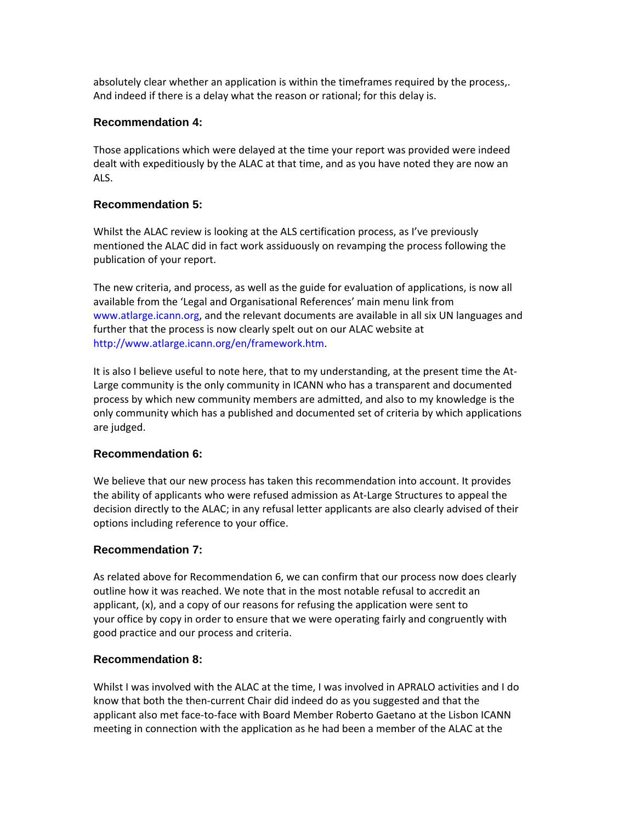absolutely clear whether an application is within the timeframes required by the process,. And indeed if there is a delay what the reason or rational; for this delay is.

## **Recommendation 4:**

Those applications which were delayed at the time your report was provided were indeed dealt with expeditiously by the ALAC at that time, and as you have noted they are now an ALS.

## **Recommendation 5:**

Whilst the ALAC review is looking at the ALS certification process, as I've previously mentioned the ALAC did in fact work assiduously on revamping the process following the publication of your report.

The new criteria, and process, as well as the guide for evaluation of applications, is now all available from the 'Legal and Organisational References' main menu link from www.atlarge.icann.org, and the relevant documents are available in all six UN languages and further that the process is now clearly spelt out on our ALAC website at http://www.atlarge.icann.org/en/framework.htm.

It is also I believe useful to note here, that to my understanding, at the present time the At‐ Large community is the only community in ICANN who has a transparent and documented process by which new community members are admitted, and also to my knowledge is the only community which has a published and documented set of criteria by which applications are judged.

#### **Recommendation 6:**

We believe that our new process has taken this recommendation into account. It provides the ability of applicants who were refused admission as At‐Large Structures to appeal the decision directly to the ALAC; in any refusal letter applicants are also clearly advised of their options including reference to your office.

#### **Recommendation 7:**

As related above for Recommendation 6, we can confirm that our process now does clearly outline how it was reached. We note that in the most notable refusal to accredit an applicant, (x), and a copy of our reasons for refusing the application were sent to your office by copy in order to ensure that we were operating fairly and congruently with good practice and our process and criteria.

#### **Recommendation 8:**

Whilst I was involved with the ALAC at the time, I was involved in APRALO activities and I do know that both the then-current Chair did indeed do as you suggested and that the applicant also met face‐to‐face with Board Member Roberto Gaetano at the Lisbon ICANN meeting in connection with the application as he had been a member of the ALAC at the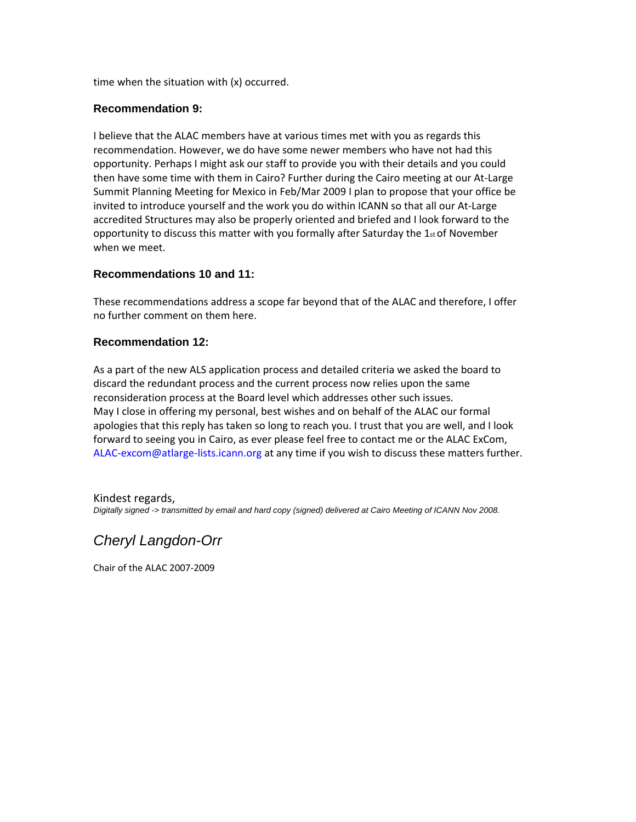time when the situation with (x) occurred.

#### **Recommendation 9:**

I believe that the ALAC members have at various times met with you as regards this recommendation. However, we do have some newer members who have not had this opportunity. Perhaps I might ask our staff to provide you with their details and you could then have some time with them in Cairo? Further during the Cairo meeting at our At‐Large Summit Planning Meeting for Mexico in Feb/Mar 2009 I plan to propose that your office be invited to introduce yourself and the work you do within ICANN so that all our At‐Large accredited Structures may also be properly oriented and briefed and I look forward to the opportunity to discuss this matter with you formally after Saturday the  $1_{st}$  of November when we meet.

#### **Recommendations 10 and 11:**

These recommendations address a scope far beyond that of the ALAC and therefore, I offer no further comment on them here.

#### **Recommendation 12:**

As a part of the new ALS application process and detailed criteria we asked the board to discard the redundant process and the current process now relies upon the same reconsideration process at the Board level which addresses other such issues. May I close in offering my personal, best wishes and on behalf of the ALAC our formal apologies that this reply has taken so long to reach you. I trust that you are well, and I look forward to seeing you in Cairo, as ever please feel free to contact me or the ALAC ExCom, ALAC-excom@atlarge-lists.icann.org at any time if you wish to discuss these matters further.

Kindest regards, *Digitally signed -> transmitted by email and hard copy (signed) delivered at Cairo Meeting of ICANN Nov 2008.* 

# *Cheryl Langdon-Orr*

Chair of the ALAC 2007‐2009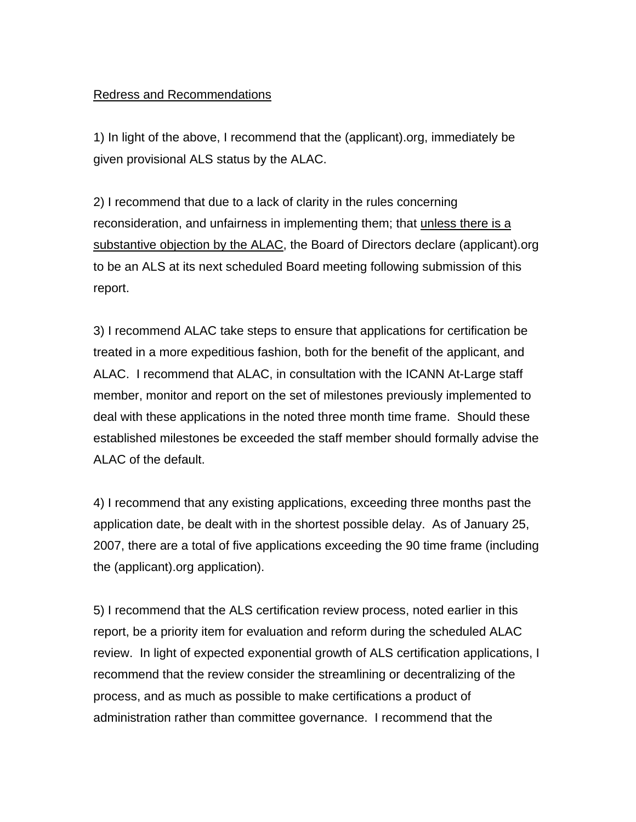# Redress and Recommendations

1) In light of the above, I recommend that the (applicant).org, immediately be given provisional ALS status by the ALAC.

2) I recommend that due to a lack of clarity in the rules concerning reconsideration, and unfairness in implementing them; that unless there is a substantive objection by the ALAC, the Board of Directors declare (applicant).org to be an ALS at its next scheduled Board meeting following submission of this report.

3) I recommend ALAC take steps to ensure that applications for certification be treated in a more expeditious fashion, both for the benefit of the applicant, and ALAC. I recommend that ALAC, in consultation with the ICANN At-Large staff member, monitor and report on the set of milestones previously implemented to deal with these applications in the noted three month time frame. Should these established milestones be exceeded the staff member should formally advise the ALAC of the default.

4) I recommend that any existing applications, exceeding three months past the application date, be dealt with in the shortest possible delay. As of January 25, 2007, there are a total of five applications exceeding the 90 time frame (including the (applicant).org application).

5) I recommend that the ALS certification review process, noted earlier in this report, be a priority item for evaluation and reform during the scheduled ALAC review. In light of expected exponential growth of ALS certification applications, I recommend that the review consider the streamlining or decentralizing of the process, and as much as possible to make certifications a product of administration rather than committee governance. I recommend that the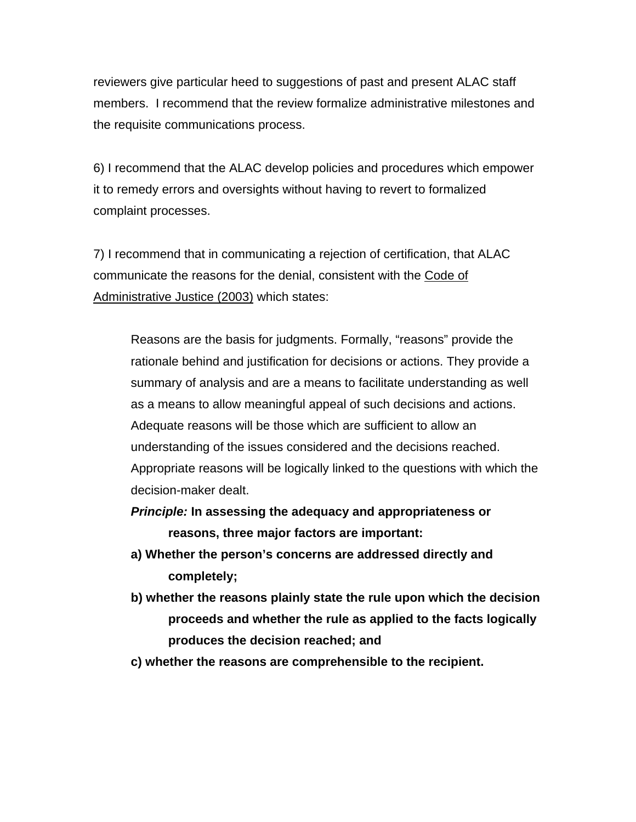reviewers give particular heed to suggestions of past and present ALAC staff members. I recommend that the review formalize administrative milestones and the requisite communications process.

6) I recommend that the ALAC develop policies and procedures which empower it to remedy errors and oversights without having to revert to formalized complaint processes.

7) I recommend that in communicating a rejection of certification, that ALAC communicate the reasons for the denial, consistent with the Code of Administrative Justice (2003) which states:

Reasons are the basis for judgments. Formally, "reasons" provide the rationale behind and justification for decisions or actions. They provide a summary of analysis and are a means to facilitate understanding as well as a means to allow meaningful appeal of such decisions and actions. Adequate reasons will be those which are sufficient to allow an understanding of the issues considered and the decisions reached. Appropriate reasons will be logically linked to the questions with which the decision-maker dealt.

*Principle:* **In assessing the adequacy and appropriateness or reasons, three major factors are important:** 

- **a) Whether the person's concerns are addressed directly and completely;**
- **b) whether the reasons plainly state the rule upon which the decision proceeds and whether the rule as applied to the facts logically produces the decision reached; and**
- **c) whether the reasons are comprehensible to the recipient.**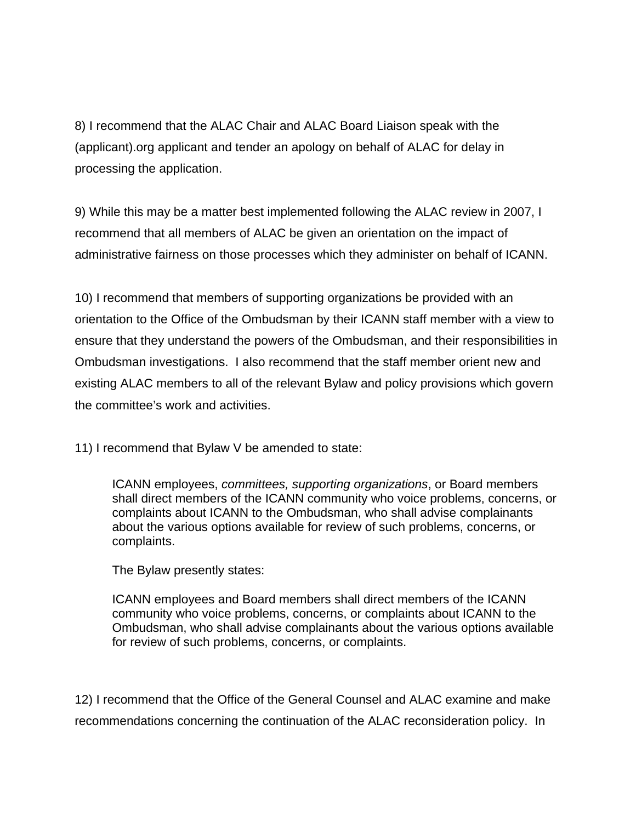8) I recommend that the ALAC Chair and ALAC Board Liaison speak with the (applicant).org applicant and tender an apology on behalf of ALAC for delay in processing the application.

9) While this may be a matter best implemented following the ALAC review in 2007, I recommend that all members of ALAC be given an orientation on the impact of administrative fairness on those processes which they administer on behalf of ICANN.

10) I recommend that members of supporting organizations be provided with an orientation to the Office of the Ombudsman by their ICANN staff member with a view to ensure that they understand the powers of the Ombudsman, and their responsibilities in Ombudsman investigations. I also recommend that the staff member orient new and existing ALAC members to all of the relevant Bylaw and policy provisions which govern the committee's work and activities.

11) I recommend that Bylaw V be amended to state:

ICANN employees, *committees, supporting organizations*, or Board members shall direct members of the ICANN community who voice problems, concerns, or complaints about ICANN to the Ombudsman, who shall advise complainants about the various options available for review of such problems, concerns, or complaints.

The Bylaw presently states:

ICANN employees and Board members shall direct members of the ICANN community who voice problems, concerns, or complaints about ICANN to the Ombudsman, who shall advise complainants about the various options available for review of such problems, concerns, or complaints.

12) I recommend that the Office of the General Counsel and ALAC examine and make recommendations concerning the continuation of the ALAC reconsideration policy. In